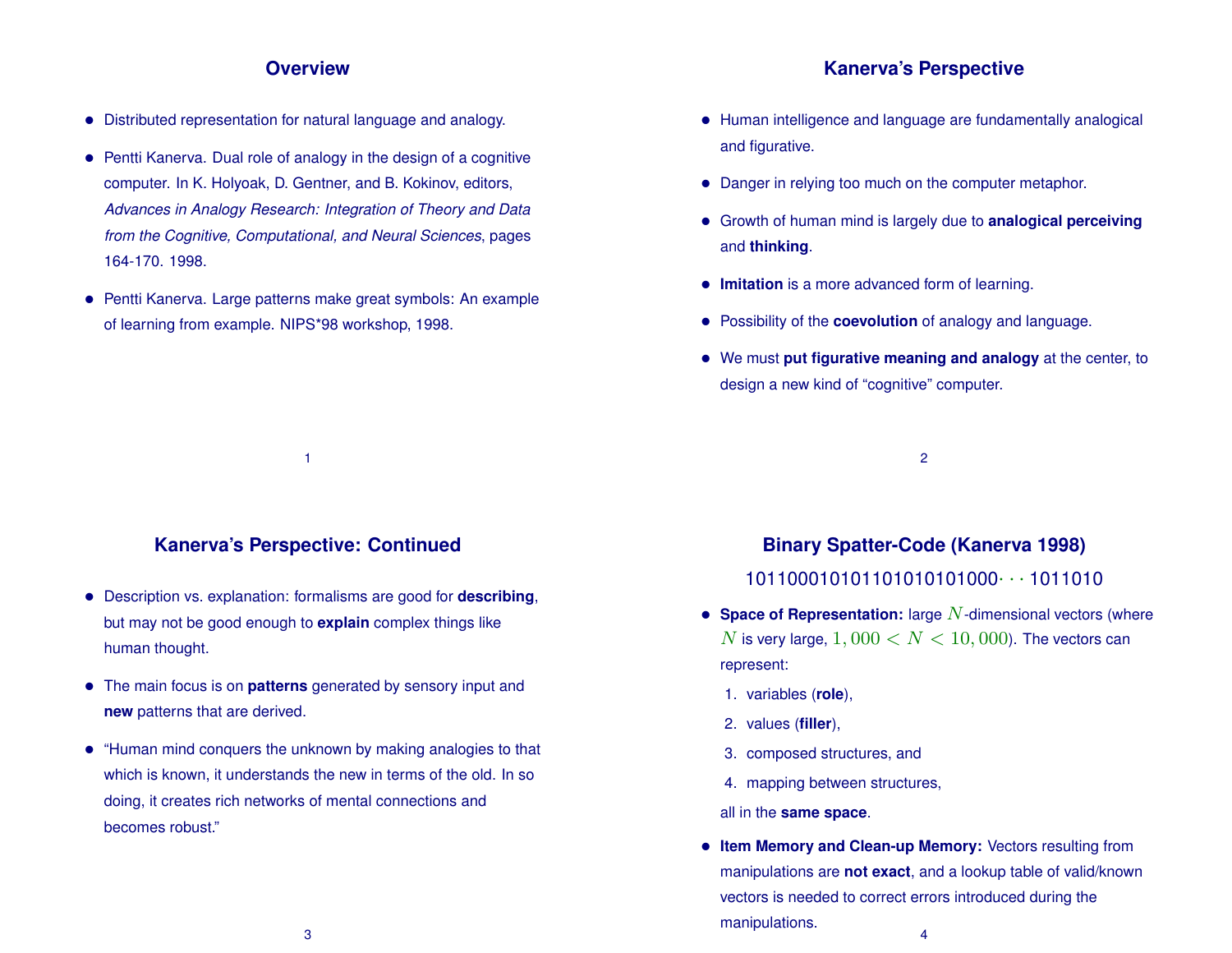#### **Overview**

- Distributed representation for natural language and analogy.
- Pentti Kanerva. Dual role of analogy in the design of a cognitive computer. In K. Holyoak, D. Gentner, and B. Kokinov, editors, *Advances in Analogy Research: Integration of Theory and Data from the Cognitive, Computational, and Neural Sciences*, pages 164-170. 1998.
- Pentti Kanerva. Large patterns make great symbols: An example of learning from example. NIPS\*98 workshop, 1998.

## **Kanerva's Perspective**

- Human intelligence and language are fundamentally analogical and figurative.
- Danger in relying too much on the computer metaphor.
- Growth of human mind is largely due to **analogical perceiving** and **thinking**.
- **Imitation** is a more advanced form of learning.
- Possibility of the **coevolution** of analogy and language.
- We must **put figurative meaning and analogy** at the center, to design a new kind of "cognitive" computer.

2

## **Kanerva's Perspective: Continued**

1

- Description vs. explanation: formalisms are good for **describing**, but may not be good enough to **explain** complex things like human thought.
- The main focus is on **patterns** generated by sensory input and **new** patterns that are derived.
- "Human mind conquers the unknown by making analogies to that which is known, it understands the new in terms of the old. In so doing, it creates rich networks of mental connections and becomes robust."

# **Binary Spatter-Code (Kanerva 1998)**

### 101100010101101010101000· · · 1011010

- **Space of Representation:** large N-dimensional vectors (where N is very large,  $1,000 < N < 10,000$ . The vectors can represent:
	- 1. variables (**role**),
	- 2. values (**filler**),
	- 3. composed structures, and
	- 4. mapping between structures,
	- all in the **same space**.
- **Item Memory and Clean-up Memory:** Vectors resulting from manipulations are **not exact**, and a lookup table of valid/known vectors is needed to correct errors introduced during the manipulations.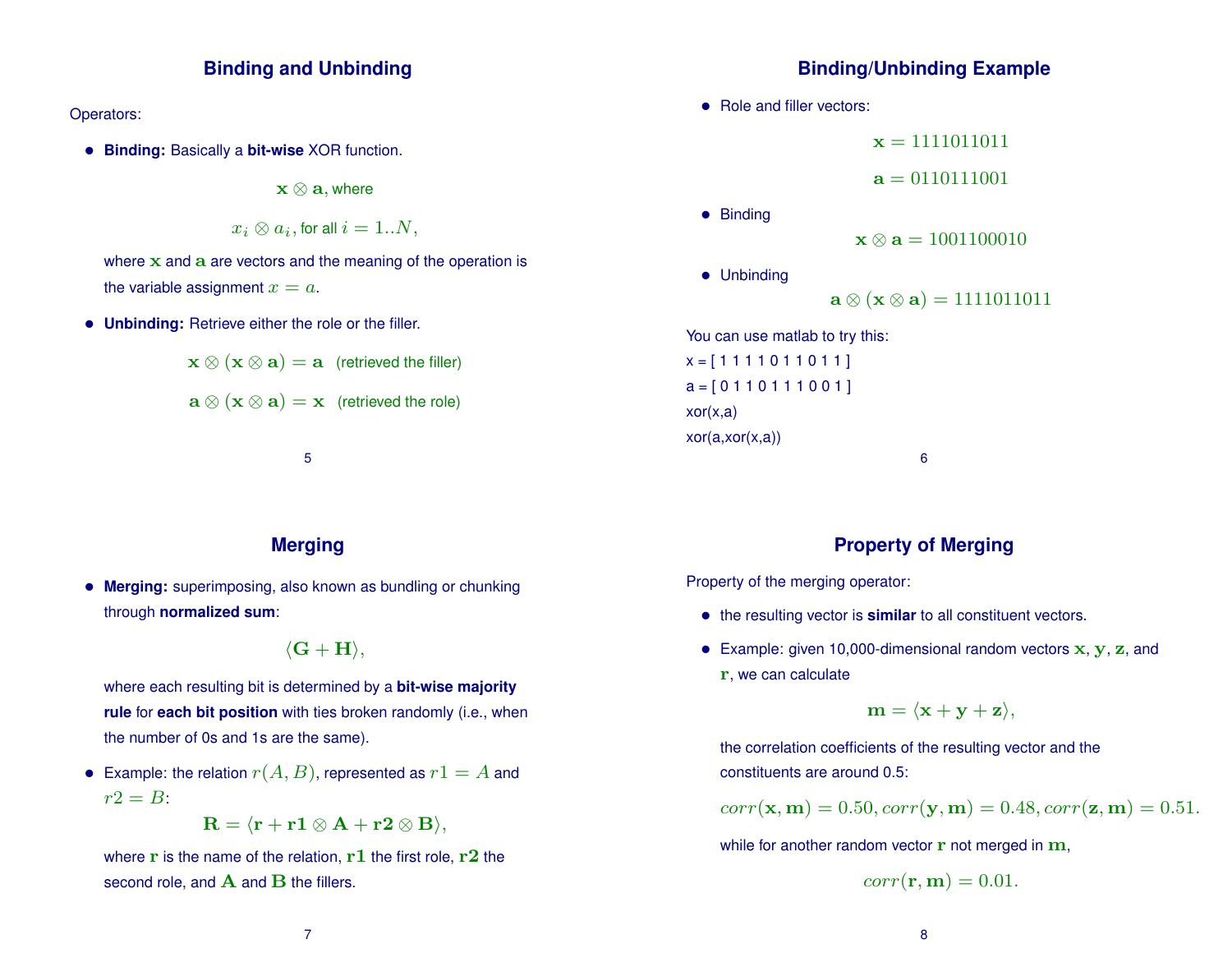## **Binding and Unbinding**

#### Operators:

• **Binding:** Basically a **bit-wise** XOR function.

 $\mathbf{x} \otimes \mathbf{a}$ , where

 $x_i \otimes a_i$ , for all  $i = 1..N$ ,

where  $x$  and  $a$  are vectors and the meaning of the operation is the variable assignment  $x = a$ .

• **Unbinding:** Retrieve either the role or the filler.

 $\mathbf{x} \otimes (\mathbf{x} \otimes \mathbf{a}) = \mathbf{a}$  (retrieved the filler)

 $\mathbf{a} \otimes (\mathbf{x} \otimes \mathbf{a}) = \mathbf{x}$  (retrieved the role)

5

## **Merging**

• **Merging:** superimposing, also known as bundling or chunking through **normalized sum**:

$$
\langle {\bf G}+{\bf H}\rangle,
$$

where each resulting bit is determined by a **bit-wise majority rule** for **each bit position** with ties broken randomly (i.e., when the number of 0s and 1s are the same).

• Example: the relation  $r(A, B)$ , represented as  $r1 = A$  and  $r2 = B$ :

$$
\mathbf{R}=\langle \mathbf{r}+\mathbf{r1}\otimes \mathbf{A}+\mathbf{r2}\otimes \mathbf{B}\rangle,
$$

where  $r$  is the name of the relation,  $r1$  the first role,  $r2$  the second role, and  $\bf{A}$  and  $\bf{B}$  the fillers.

## **Binding/Unbinding Example**

• Role and filler vectors:

 $x = 1111011011$ 

 $a = 0110111001$ 

• Binding

• Unbinding

 $\mathbf{x} \otimes \mathbf{a} = 1001100010$ 

 $\mathbf{a} \otimes (\mathbf{x} \otimes \mathbf{a}) = 1111011011$ 

You can use matlab to try this:  $x = [11111011011]$  $a = [0110111001]$ xor(x,a) xor(a,xor(x,a))

## **Property of Merging**

6

Property of the merging operator:

- the resulting vector is **similar** to all constituent vectors.
- Example: given 10,000-dimensional random vectors  $x, y, z$ , and r, we can calculate

$$
\mathbf{m}=\langle \mathbf{x}+\mathbf{y}+\mathbf{z}\rangle,
$$

the correlation coefficients of the resulting vector and the constituents are around 0.5:

 $corr(\mathbf{x}, \mathbf{m}) = 0.50, corr(\mathbf{y}, \mathbf{m}) = 0.48, corr(\mathbf{z}, \mathbf{m}) = 0.51.$ 

while for another random vector  $\mathbf r$  not merged in  $\mathbf m$ ,

$$
corr(\mathbf{r}, \mathbf{m}) = 0.01.
$$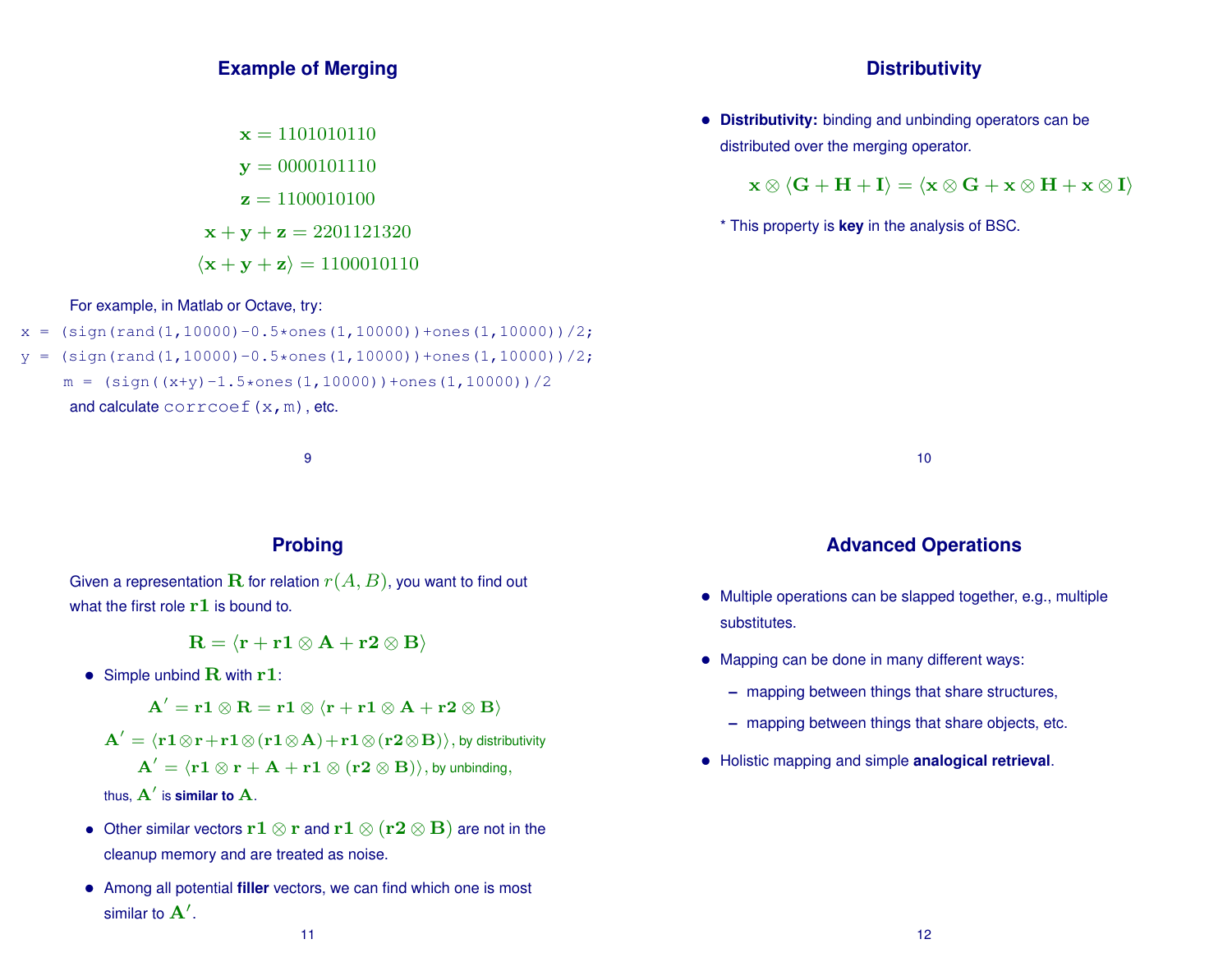#### **Example of Merging**

 $x = 1101010110$  $y = 0000101110$  $z = 1100010100$  $x + y + z = 2201121320$  $\langle \mathbf{x} + \mathbf{y} + \mathbf{z} \rangle = 1100010110$ 

#### For example, in Matlab or Octave, try:

 $x = (sign(rand(1,10000)-0.5*)\times ones(1,10000))\times1000(1,10000))/2;$  $y = (sign(rand(1,10000)-0.5*)ones(1,10000))+ones(1,10000))/2;$  $m = (sign((x+y)-1.5*)$   $+ ones(1,10000))$   $+ ones(1,10000))$  /2

and calculate corrcoef(x,m), etc.

9

# **Probing**

Given a representation R for relation  $r(A, B)$ , you want to find out what the first role  $r1$  is bound to.

$$
\mathbf{R}=\langle \mathbf{r}+\mathbf{r1}\otimes \mathbf{A}+\mathbf{r2}\otimes \mathbf{B}\rangle
$$

• Simple unbind  $\bf R$  with  $\bf r1$ :

 ${\bf A}^\prime={\bf r1}\otimes{\bf R}={\bf r1}\otimes\langle{\bf r}+{\bf r1}\otimes{\bf A}+{\bf r2}\otimes{\bf B}\rangle$ 

 $\mathbf{A}'=\langle \mathbf{r1}\!\otimes\!\mathbf{r}\!+\!\mathbf{r1}\!\otimes\!(\mathbf{r1}\!\otimes\!\mathbf{A})\!+\!\mathbf{r1}\!\otimes\!(\mathbf{r2}\!\otimes\!\mathbf{B})\rangle,$  by distributivity

 ${\bf A}'=\langle {\bf r1}\otimes {\bf r}+{\bf A}+{\bf r1}\otimes ({\bf r2}\otimes {\bf B})\rangle,$  by unbinding,

thus,  $\mathbf{A}^{\prime}$  is **similar to**  $\mathbf{A}.$ 

- Other similar vectors  $r1 \otimes r$  and  $r1 \otimes (r2 \otimes B)$  are not in the cleanup memory and are treated as noise.
- Among all potential **filler** vectors, we can find which one is most similar to  $\mathbf{A}^{\prime}$ .

## **Distributivity**

• **Distributivity:** binding and unbinding operators can be distributed over the merging operator.

 $\mathbf{x} \otimes \langle \mathbf{G} + \mathbf{H} + \mathbf{I} \rangle = \langle \mathbf{x} \otimes \mathbf{G} + \mathbf{x} \otimes \mathbf{H} + \mathbf{x} \otimes \mathbf{I} \rangle$ 

\* This property is **key** in the analysis of BSC.

10

## **Advanced Operations**

- Multiple operations can be slapped together, e.g., multiple substitutes.
- Mapping can be done in many different ways:
	- **–** mapping between things that share structures,
	- **–** mapping between things that share objects, etc.
- Holistic mapping and simple **analogical retrieval**.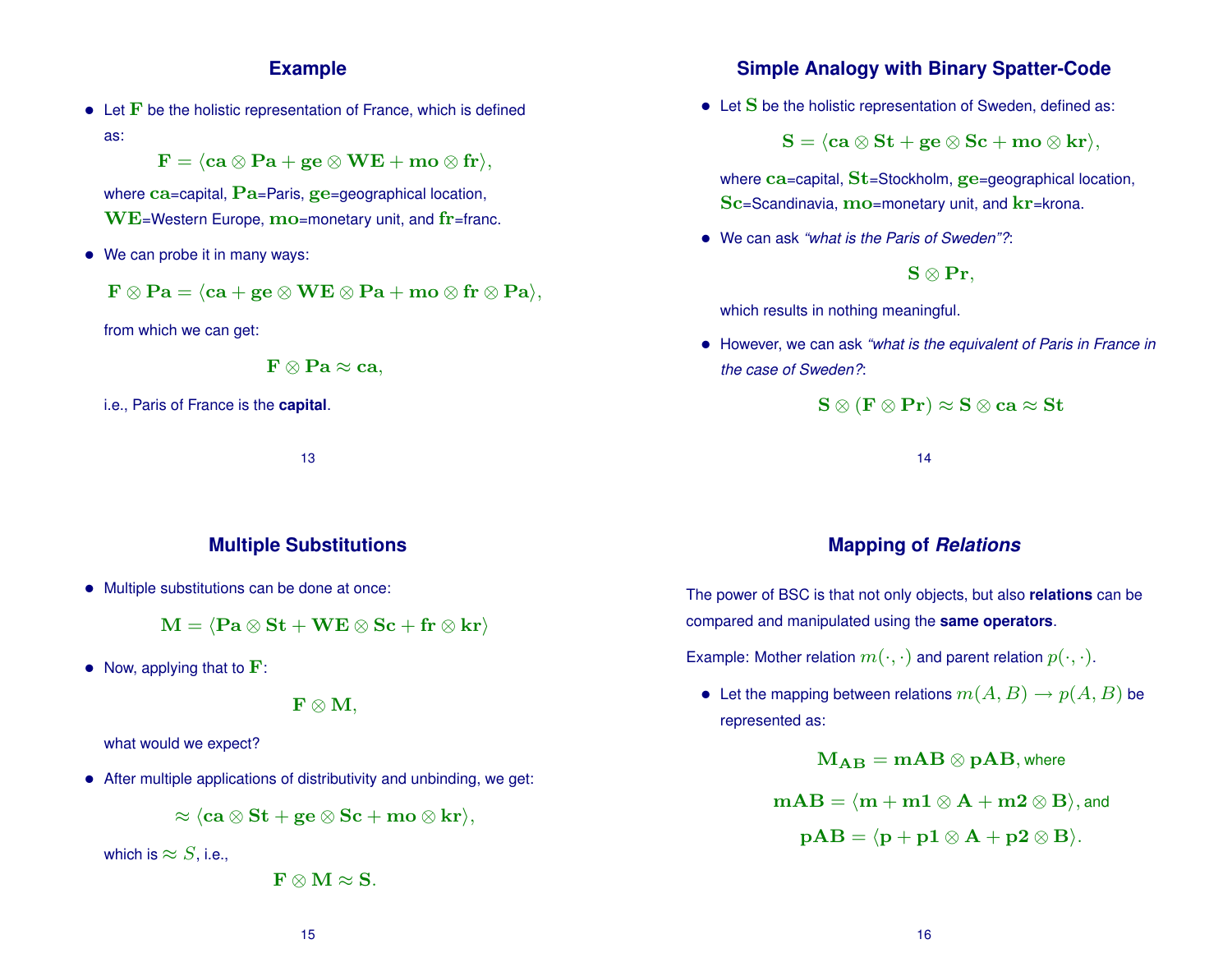## **Example**

- $\bullet$  Let  $\bf{F}$  be the holistic representation of France, which is defined as:
	- $\mathbf{F} = \langle \mathbf{ca} \otimes \mathbf{Pa} + \mathbf{ge} \otimes \mathbf{WE} + \mathbf{mo} \otimes \mathbf{fr} \rangle,$

where ca=capital, Pa=Paris, ge=geographical location, WE=Western Europe, mo=monetary unit, and fr=franc.

• We can probe it in many ways:

$$
\mathbf{F}\otimes\mathbf{Pa}=\langle\mathbf{ca}+\mathbf{ge}\otimes\mathbf{WE}\otimes\mathbf{Pa}+\mathbf{mo}\otimes\mathbf{fr}\otimes\mathbf{Pa}\rangle,
$$

from which we can get:

$$
\mathbf{F}\otimes\mathbf{Pa}\approx\mathbf{ca},
$$

i.e., Paris of France is the **capital**.

13

#### **Multiple Substitutions**

• Multiple substitutions can be done at once:

$$
\mathbf{M} = \langle \mathbf{Pa} \otimes \mathbf{St} + \mathbf{W} \mathbf{E} \otimes \mathbf{Sc} + \mathbf{fr} \otimes \mathbf{kr} \rangle
$$

• Now, applying that to  $\mathbf{F}$ :

 ${\bf F} \otimes {\bf M},$ 

#### what would we expect?

• After multiple applications of distributivity and unbinding, we get:

$$
\approx \langle \mathbf{ca}\otimes \mathbf{St}+\mathbf{ge}\otimes \mathbf{Sc}+\mathbf{mo}\otimes \mathbf{kr}\rangle,
$$

which is  $\approx S$ , i.e.,

 $\mathbf{F} \otimes \mathbf{M} \approx \mathbf{S}$ .

## **Simple Analogy with Binary Spatter-Code**

• Let S be the holistic representation of Sweden, defined as:

 $S = \langle ca \otimes St + ge \otimes Sc + mo \otimes kr \rangle,$ 

where ca=capital, St=Stockholm, ge=geographical location, Sc=Scandinavia, mo=monetary unit, and kr=krona.

• We can ask *"what is the Paris of Sweden"?*:

 $S \otimes Pr$ ,

which results in nothing meaningful.

• However, we can ask *"what is the equivalent of Paris in France in the case of Sweden?*:

 $S \otimes (F \otimes Pr) \approx S \otimes ca \approx St$ 

14

#### **Mapping of** *Relations*

The power of BSC is that not only objects, but also **relations** can be compared and manipulated using the **same operators**.

Example: Mother relation  $m(\cdot, \cdot)$  and parent relation  $p(\cdot, \cdot)$ .

• Let the mapping between relations  $m(A, B) \rightarrow p(A, B)$  be represented as:

$$
\mathbf{M_{AB}} = \mathbf{mAB} \otimes \mathbf{pAB}, \mathsf{where}
$$

$$
\textbf{mAB}=\langle \textbf{m}+\textbf{m1}\otimes \textbf{A}+\textbf{m2}\otimes \textbf{B}\rangle, \text{and}
$$

$$
\mathbf{pAB} = \langle \mathbf{p} + \mathbf{p1} \otimes \mathbf{A} + \mathbf{p2} \otimes \mathbf{B} \rangle.
$$